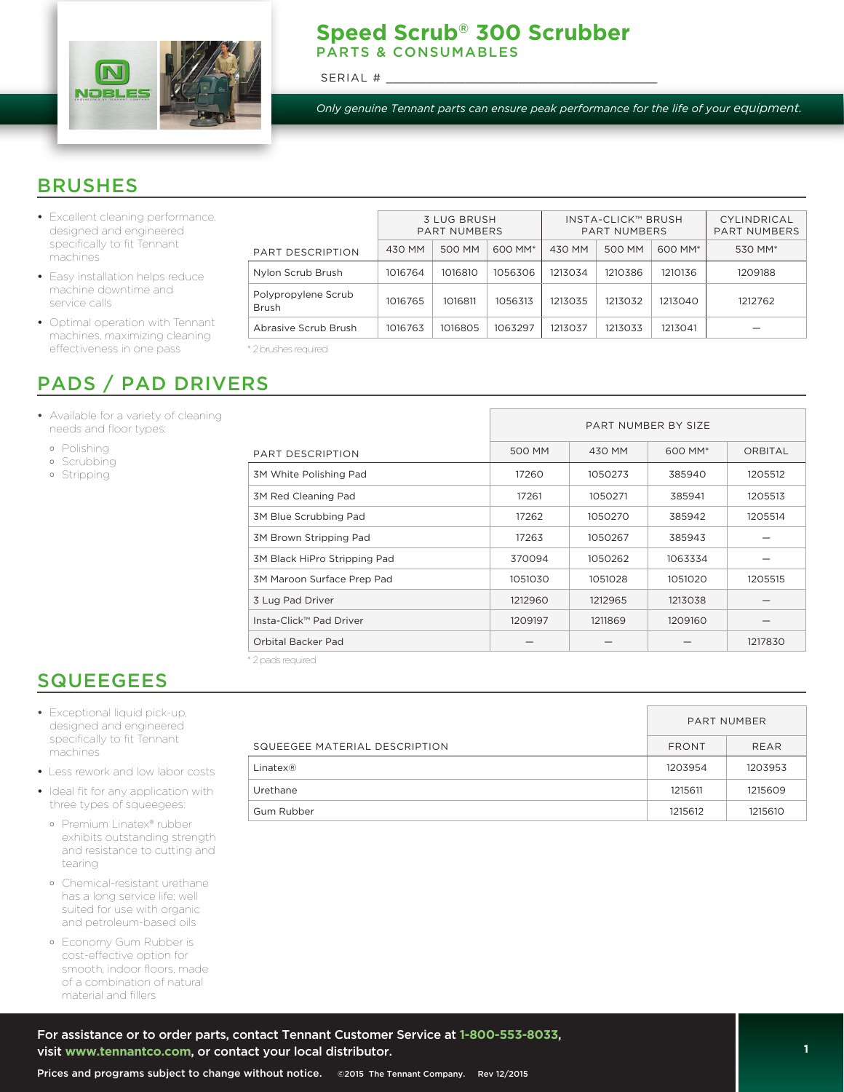

#### **Speed Scrub® 300 Scrubber**  PARTS & CONSUMABLES

SERIAL #

*Only genuine Tennant parts can ensure peak performance for the life of your equipment.*

### **BRUSHES**

- *•* Excellent cleaning performance, designed and engineered specifically to fit Tennant machines
- *•* Easy installation helps reduce machine downtime and service calls
- *•* Optimal operation with Tennant machines, maximizing cleaning effectiveness in one pass

# PADS / PAD DRIVERS

- *•* Available for a variety of cleaning needs and floor types:
	- Polishing
	- o Scrubbing
	- Stripping

|                              | <b>3 LUG BRUSH</b><br><b>PART NUMBERS</b> |         |         | INSTA-CLICK™ BRUSH<br>PART NUMBERS |         |         | CYLINDRICAL<br><b>PART NUMBERS</b> |
|------------------------------|-------------------------------------------|---------|---------|------------------------------------|---------|---------|------------------------------------|
| <b>PART DESCRIPTION</b>      | 430 MM                                    | 500 MM  | 600 MM* | 430 MM                             | 500 MM  | 600 MM* | 530 MM*                            |
| Nylon Scrub Brush            | 1016764                                   | 1016810 | 1056306 | 1213034                            | 1210386 | 1210136 | 1209188                            |
| Polypropylene Scrub<br>Brush | 1016765                                   | 1016811 | 1056313 | 1213035                            | 1213032 | 1213040 | 1212762                            |
| Abrasive Scrub Brush         | 1016763                                   | 1016805 | 1063297 | 1213037                            | 1213033 | 1213041 |                                    |

\* 2 brushes required

|                              |         | PART NUMBER BY SIZE |         |                |  |
|------------------------------|---------|---------------------|---------|----------------|--|
| PART DESCRIPTION             | 500 MM  | 430 MM              | 600 MM* | <b>ORBITAL</b> |  |
| 3M White Polishing Pad       | 17260   | 1050273             | 385940  | 1205512        |  |
| <b>3M Red Cleaning Pad</b>   | 17261   | 1050271             | 385941  | 1205513        |  |
| 3M Blue Scrubbing Pad        | 17262   | 1050270             | 385942  | 1205514        |  |
| 3M Brown Stripping Pad       | 17263   | 1050267             | 385943  |                |  |
| 3M Black HiPro Stripping Pad | 370094  | 1050262             | 1063334 |                |  |
| 3M Maroon Surface Prep Pad   | 1051030 | 1051028             | 1051020 | 1205515        |  |
| 3 Lug Pad Driver             | 1212960 | 1212965             | 1213038 |                |  |
| Insta-Click™ Pad Driver      | 1209197 | 1211869             | 1209160 |                |  |
| Orbital Backer Pad           |         |                     |         | 1217830        |  |

\* 2 pads required

# **SQUEEGEES**

- *•* Exceptional liquid pick-up, designed and engineered specifically to fit Tennant machines
- *•* Less rework and low labor costs
- *•* Ideal fit for any application with three types of squeegees:
	- Premium Linatex® rubber exhibits outstanding strength and resistance to cutting and tearing
	- Chemical-resistant urethane has a long service life; well suited for use with organic and petroleum-based oils
	- Economy Gum Rubber is cost-effective option for smooth, indoor floors, made of a combination of natural material and fillers

|                               | <b>PART NUMBER</b> |         |  |
|-------------------------------|--------------------|---------|--|
| SQUEEGEE MATERIAL DESCRIPTION | <b>FRONT</b>       | REAR    |  |
| Linatex@                      | 1203954            | 1203953 |  |
| Urethane                      | 1215611            | 1215609 |  |
| Gum Rubber                    | 1215612            | 1215610 |  |
|                               |                    |         |  |

 $\overline{\phantom{a}}$ 

For assistance or to order parts, contact Tennant Customer Service at **1-800-553-8033**, visit **www.tennantco.com**, or contact your local distributor.